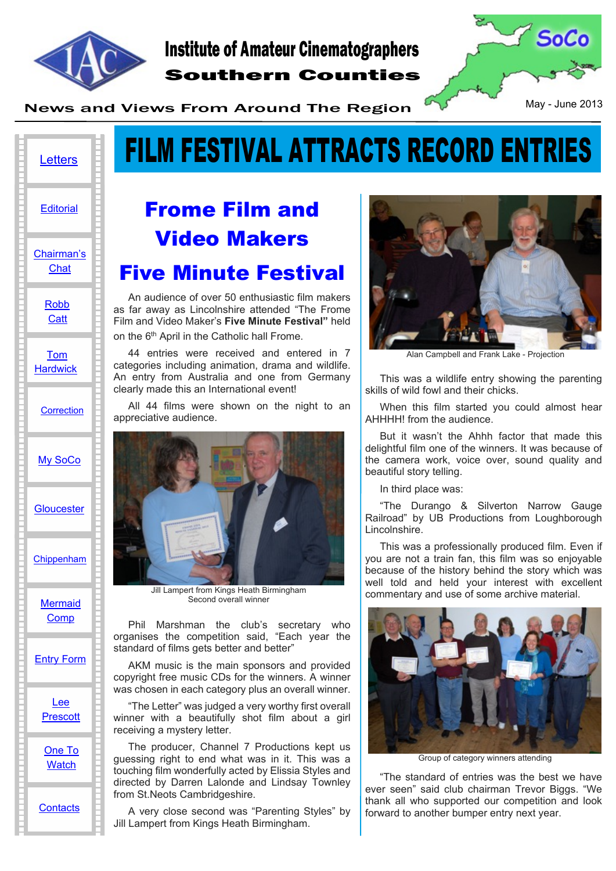

## Southern Counties Institute of Amateur Cinematographers



News and Views From Around The Region May - June 2013

# **FILM FESTIVAL ATTRACTS RECORD ENTRIES**

## [My SoCo](#page-3-0) **[Letters](#page-1-0)** [Chairman's](#page-2-0) **[Chat](#page-2-0) [Editorial](#page-1-0)** [Robb](#page-2-0) **[Catt](#page-2-0)** [Tom](#page-3-0) **[Hardwick](#page-3-0) [Correction](#page-3-0) [Gloucester](#page-4-0)** [Chippenham](#page-4-0) **[Mermaid](#page-5-0)** [Comp](#page-5-0) [Entry Form](#page-6-0) [Lee](#page-7-0) **[Prescott](#page-7-0)**

[One To](#page-9-0) **[Watch](#page-9-0)** 

**[Contacts](#page-10-0)** 

## **Frome Film and Video Makers Five Minute Festival**

An audience of over 50 enthusiastic film makers as far away as Lincolnshire attended "The Frome Film and Video Maker's **Five Minute Festival"** held on the 6<sup>th</sup> April in the Catholic hall Frome.

44 entries were received and entered in 7 categories including animation, drama and wildlife. An entry from Australia and one from Germany clearly made this an International event!

All 44 films were shown on the night to an appreciative audience.



Jill Lampert from Kings Heath Birmingham Second overall winner

Phil Marshman the club's secretary who organises the competition said, "Each year the standard of films gets better and better"

AKM music is the main sponsors and provided copyright free music CDs for the winners. A winner was chosen in each category plus an overall winner.

"The Letter" was judged a very worthy first overall winner with a beautifully shot film about a girl receiving a mystery letter.

The producer, Channel 7 Productions kept us guessing right to end what was in it. This was a touching film wonderfully acted by Elissia Styles and directed by Darren Lalonde and Lindsay Townley from St.Neots Cambridgeshire.

A very close second was "Parenting Styles" by Jill Lampert from Kings Heath Birmingham.



Alan Campbell and Frank Lake - Projection

This was a wildlife entry showing the parenting skills of wild fowl and their chicks.

When this film started you could almost hear AHHHH! from the audience.

But it wasn't the Ahhh factor that made this delightful film one of the winners. It was because of the camera work, voice over, sound quality and beautiful story telling.

In third place was:

"The Durango & Silverton Narrow Gauge Railroad" by UB Productions from Loughborough Lincolnshire.

This was a professionally produced film. Even if you are not a train fan, this film was so enjoyable because of the history behind the story which was well told and held your interest with excellent commentary and use of some archive material.



Group of category winners attending

"The standard of entries was the best we have ever seen" said club chairman Trevor Biggs. "We thank all who supported our competition and look forward to another bumper entry next year.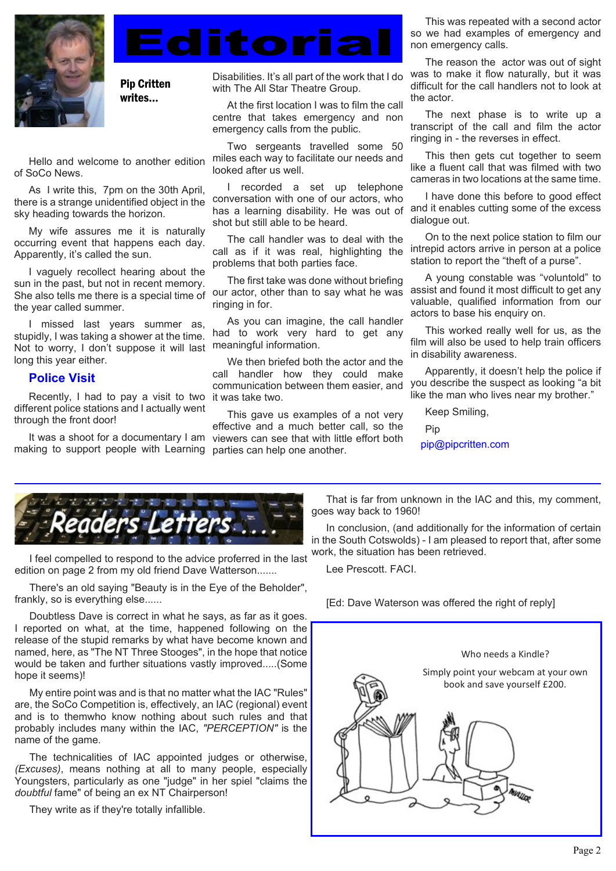<span id="page-1-0"></span>

Pip Critten writes...

Hello and welcome to another edition of SoCo News.

As I write this, 7pm on the 30th April, there is a strange unidentified object in the sky heading towards the horizon.

My wife assures me it is naturally occurring event that happens each day. Apparently, it's called the sun.

I vaguely recollect hearing about the sun in the past, but not in recent memory. She also tells me there is a special time of the year called summer.

I missed last years summer as, stupidly, I was taking a shower at the time. Not to worry, I don't suppose it will last long this year either.

#### **Police Visit**

Recently, I had to pay a visit to two it was take two. different police stations and I actually went through the front door!

making to support people with Learning parties can help one another.

Disabilities. It's all part of the work that I do with The All Star Theatre Group.

**Editoria** 

At the first location I was to film the call centre that takes emergency and non emergency calls from the public.

Two sergeants travelled some 50 miles each way to facilitate our needs and looked after us well.

I recorded a set up telephone conversation with one of our actors, who has a learning disability. He was out of shot but still able to be heard.

The call handler was to deal with the call as if it was real, highlighting the problems that both parties face.

The first take was done without briefing our actor, other than to say what he was ringing in for.

As you can imagine, the call handler had to work very hard to get any meaningful information.

We then briefed both the actor and the call handler how they could make communication between them easier, and

This gave us examples of a not very effective and a much better call, so the It was a shoot for a documentary I am viewers can see that with little effort both

This was repeated with a second actor so we had examples of emergency and non emergency calls.

The reason the actor was out of sight was to make it flow naturally, but it was difficult for the call handlers not to look at the actor.

The next phase is to write up a transcript of the call and film the actor ringing in - the reverses in effect.

This then gets cut together to seem like a fluent call that was filmed with two cameras in two locations at the same time.

I have done this before to good effect and it enables cutting some of the excess dialogue out.

On to the next police station to film our intrepid actors arrive in person at a police station to report the "theft of a purse".

A young constable was "voluntold" to assist and found it most difficult to get any valuable, qualified information from our actors to base his enquiry on.

This worked really well for us, as the film will also be used to help train officers in disability awareness.

Apparently, it doesn't help the police if you describe the suspect as looking "a bit like the man who lives near my brother."

Keep Smiling,

Pip

pip@pipcritten.com



I feel compelled to respond to the advice proferred in the last edition on page 2 from my old friend Dave Watterson.......

There's an old saying "Beauty is in the Eye of the Beholder", frankly, so is everything else......

Doubtless Dave is correct in what he says, as far as it goes. I reported on what, at the time, happened following on the release of the stupid remarks by what have become known and named, here, as "The NT Three Stooges", in the hope that notice would be taken and further situations vastly improved.....(Some hope it seems)!

My entire point was and is that no matter what the IAC "Rules" are, the SoCo Competition is, effectively, an IAC (regional) event and is to themwho know nothing about such rules and that probably includes many within the IAC, *"PERCEPTION"* is the name of the game.

The technicalities of IAC appointed judges or otherwise, *(Excuses)*, means nothing at all to many people, especially Youngsters, particularly as one "judge" in her spiel "claims the *doubtful* fame" of being an ex NT Chairperson!

They write as if they're totally infallible.

That is far from unknown in the IAC and this, my comment, goes way back to 1960!

In conclusion, (and additionally for the information of certain in the South Cotswolds) - I am pleased to report that, after some work, the situation has been retrieved.

Lee Prescott. FACI.

[Ed: Dave Waterson was offered the right of reply]

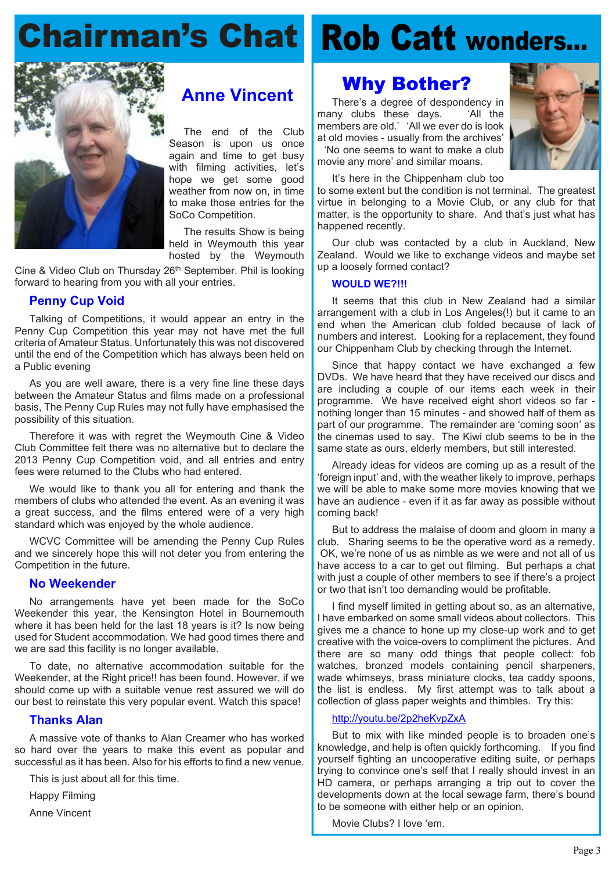# <span id="page-2-0"></span>**Chairman's Chat**



## **Anne Vincent**

The end of the Club Season is upon us once again and time to get busy with filming activities, let's hope we get some good weather from now on, in time to make those entries for the SoCo Competition.

The results Show is being held in Weymouth this year hosted by the Weymouth

Cine & Video Club on Thursday 26<sup>th</sup> September. Phil is looking forward to hearing from you with all your entries.

#### **Penny Cup Void**

Talking of Competitions, it would appear an entry in the Penny Cup Competition this year may not have met the full criteria of Amateur Status. Unfortunately this was not discovered until the end of the Competition which has always been held on a Public evening

As you are well aware, there is a very fine line these days between the Amateur Status and films made on a professional basis, The Penny Cup Rules may not fully have emphasised the possibility of this situation.

Therefore it was with regret the Weymouth Cine & Video Club Committee felt there was no alternative but to declare the 2013 Penny Cup Competition void, and all entries and entry fees were returned to the Clubs who had entered.

We would like to thank you all for entering and thank the members of clubs who attended the event. As an evening it was a great success, and the films entered were of a very high standard which was enjoyed by the whole audience.

WCVC Committee will be amending the Penny Cup Rules and we sincerely hope this will not deter you from entering the Competition in the future.

#### **No Weekender**

No arrangements have yet been made for the SoCo Weekender this year, the Kensington Hotel in Bournemouth where it has been held for the last 18 years is it? Is now being used for Student accommodation. We had good times there and we are sad this facility is no longer available.

To date, no alternative accommodation suitable for the Weekender, at the Right price!! has been found. However, if we should come up with a suitable venue rest assured we will do our best to reinstate this very popular event. Watch this space!

#### **Thanks Alan**

A massive vote of thanks to Alan Creamer who has worked so hard over the years to make this event as popular and successful as it has been. Also for his efforts to find a new venue.

This is just about all for this time.

Happy Filming

Anne Vincent

# **Rob Catt wonders…**

## **Why Bother?**

There's a degree of despondency in many clubs these days. 'All the members are old.' 'All we ever do is look at old movies - usually from the archives' 'No one seems to want to make a club movie any more' and similar moans.



It's here in the Chippenham club too

to some extent but the condition is not terminal. The greatest virtue in belonging to a Movie Club, or any club for that matter, is the opportunity to share. And that's just what has happened recently.

Our club was contacted by a club in Auckland, New Zealand. Would we like to exchange videos and maybe set up a loosely formed contact?

#### **WOULD WE?!!!**

It seems that this club in New Zealand had a similar arrangement with a club in Los Angeles(!) but it came to an end when the American club folded because of lack of numbers and interest. Looking for a replacement, they found our Chippenham Club by checking through the Internet.

Since that happy contact we have exchanged a few DVDs. We have heard that they have received our discs and are including a couple of our items each week in their programme. We have received eight short videos so far nothing longer than 15 minutes - and showed half of them as part of our programme. The remainder are 'coming soon' as the cinemas used to say. The Kiwi club seems to be in the same state as ours, elderly members, but still interested.

Already ideas for videos are coming up as a result of the 'foreign input' and, with the weather likely to improve, perhaps we will be able to make some more movies knowing that we have an audience - even if it as far away as possible without coming back!

But to address the malaise of doom and gloom in many a club. Sharing seems to be the operative word as a remedy. OK, we're none of us as nimble as we were and not all of us have access to a car to get out filming. But perhaps a chat with just a couple of other members to see if there's a project or two that isn't too demanding would be profitable.

I find myself limited in getting about so, as an alternative, I have embarked on some small videos about collectors. This gives me a chance to hone up my close-up work and to get creative with the voice-overs to compliment the pictures. And there are so many odd things that people collect: fob watches, bronzed models containing pencil sharpeners, wade whimseys, brass miniature clocks, tea caddy spoons, the list is endless. My first attempt was to talk about a collection of glass paper weights and thimbles. Try this:

#### <http://youtu.be/2p2heKvpZxA>

But to mix with like minded people is to broaden one's knowledge, and help is often quickly forthcoming. If you find yourself fighting an uncooperative editing suite, or perhaps trying to convince one's self that I really should invest in an HD camera, or perhaps arranging a trip out to cover the developments down at the local sewage farm, there's bound to be someone with either help or an opinion.

Movie Clubs? I love 'em.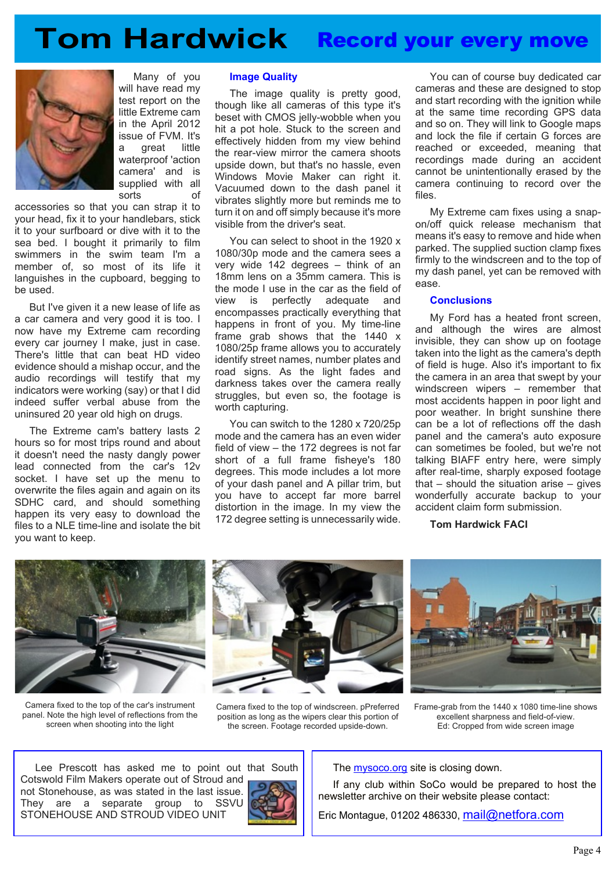<span id="page-3-0"></span>



Many of you will have read my test report on the little Extreme cam in the April 2012 issue of FVM. It's a great little waterproof 'action camera' and is supplied with all sorts of

accessories so that you can strap it to your head, fix it to your handlebars, stick it to your surfboard or dive with it to the sea bed. I bought it primarily to film swimmers in the swim team I'm a member of, so most of its life it languishes in the cupboard, begging to be used.

But I've given it a new lease of life as a car camera and very good it is too. I now have my Extreme cam recording every car journey I make, just in case. There's little that can beat HD video evidence should a mishap occur, and the audio recordings will testify that my indicators were working (say) or that I did indeed suffer verbal abuse from the uninsured 20 year old high on drugs.

The Extreme cam's battery lasts 2 hours so for most trips round and about it doesn't need the nasty dangly power lead connected from the car's 12v socket. I have set up the menu to overwrite the files again and again on its SDHC card, and should something happen its very easy to download the files to a NLE time-line and isolate the bit you want to keep.

#### **Image Quality**

The image quality is pretty good, though like all cameras of this type it's beset with CMOS jelly-wobble when you hit a pot hole. Stuck to the screen and effectively hidden from my view behind the rear-view mirror the camera shoots upside down, but that's no hassle, even Windows Movie Maker can right it. Vacuumed down to the dash panel it vibrates slightly more but reminds me to turn it on and off simply because it's more visible from the driver's seat.

You can select to shoot in the 1920 x 1080/30p mode and the camera sees a very wide 142 degrees – think of an 18mm lens on a 35mm camera. This is the mode I use in the car as the field of view is perfectly adequate and encompasses practically everything that happens in front of you. My time-line frame grab shows that the 1440 x 1080/25p frame allows you to accurately identify street names, number plates and road signs. As the light fades and darkness takes over the camera really struggles, but even so, the footage is worth capturing.

You can switch to the 1280 x 720/25p mode and the camera has an even wider field of view – the 172 degrees is not far short of a full frame fisheye's 180 degrees. This mode includes a lot more of your dash panel and A pillar trim, but you have to accept far more barrel distortion in the image. In my view the 172 degree setting is unnecessarily wide.

You can of course buy dedicated car cameras and these are designed to stop and start recording with the ignition while at the same time recording GPS data and so on. They will link to Google maps and lock the file if certain G forces are reached or exceeded, meaning that recordings made during an accident cannot be unintentionally erased by the camera continuing to record over the files.

My Extreme cam fixes using a snapon/off quick release mechanism that means it's easy to remove and hide when parked. The supplied suction clamp fixes firmly to the windscreen and to the top of my dash panel, yet can be removed with ease.

#### **Conclusions**

My Ford has a heated front screen, and although the wires are almost invisible, they can show up on footage taken into the light as the camera's depth of field is huge. Also it's important to fix the camera in an area that swept by your windscreen wipers – remember that most accidents happen in poor light and poor weather. In bright sunshine there can be a lot of reflections off the dash panel and the camera's auto exposure can sometimes be fooled, but we're not talking BIAFF entry here, were simply after real-time, sharply exposed footage that – should the situation arise – gives wonderfully accurate backup to your accident claim form submission.

**Tom Hardwick FACI**



Camera fixed to the top of the car's instrument panel. Note the high level of reflections from the screen when shooting into the light



Camera fixed to the top of windscreen. pPreferred position as long as the wipers clear this portion of the screen. Footage recorded upside-down.



Frame-grab from the 1440 x 1080 time-line shows excellent sharpness and field-of-view. Ed: Cropped from wide screen image

Lee Prescott has asked me to point out that South Cotswold Film Makers operate out of Stroud and not Stonehouse, as was stated in the last issue. They are a separate group to SSVU STONEHOUSE AND STROUD VIDEO UNIT



The <mysoco.org>site is closing down.

If any club within SoCo would be prepared to host the newsletter archive on their website please contact:

Eric Montague, 01202 486330, [mail@netfora.com](mailto:mail@netfora.com)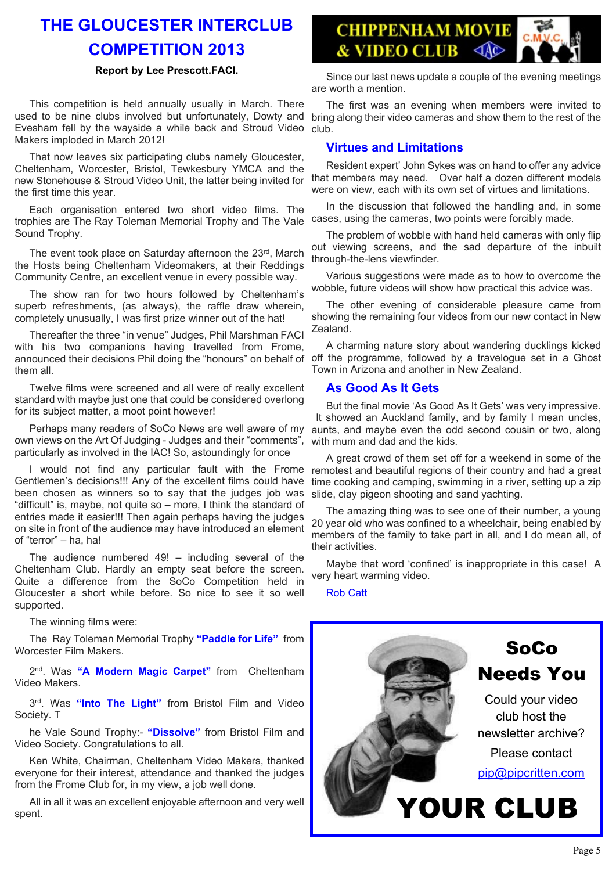## <span id="page-4-0"></span>**THE GLOUCESTER INTERCLUB COMPETITION 2013**

#### **Report by Lee Prescott.FACI.**

This competition is held annually usually in March. There used to be nine clubs involved but unfortunately, Dowty and Evesham fell by the wayside a while back and Stroud Video Makers imploded in March 2012!

That now leaves six participating clubs namely Gloucester, Cheltenham, Worcester, Bristol, Tewkesbury YMCA and the new Stonehouse & Stroud Video Unit, the latter being invited for the first time this year.

Each organisation entered two short video films. The trophies are The Ray Toleman Memorial Trophy and The Vale Sound Trophy.

The event took place on Saturday afternoon the 23rd, March the Hosts being Cheltenham Videomakers, at their Reddings Community Centre, an excellent venue in every possible way.

The show ran for two hours followed by Cheltenham's superb refreshments, (as always), the raffle draw wherein, completely unusually, I was first prize winner out of the hat!

Thereafter the three "in venue" Judges, Phil Marshman FACI with his two companions having travelled from Frome, announced their decisions Phil doing the "honours" on behalf of them all.

Twelve films were screened and all were of really excellent standard with maybe just one that could be considered overlong for its subject matter, a moot point however!

Perhaps many readers of SoCo News are well aware of my own views on the Art Of Judging - Judges and their "comments", particularly as involved in the IAC! So, astoundingly for once

I would not find any particular fault with the Frome Gentlemen's decisions!!! Any of the excellent films could have been chosen as winners so to say that the judges job was "difficult" is, maybe, not quite so – more, I think the standard of entries made it easier!!! Then again perhaps having the judges on site in front of the audience may have introduced an element of "terror" – ha, ha!

The audience numbered 49! – including several of the Cheltenham Club. Hardly an empty seat before the screen. Quite a difference from the SoCo Competition held in Gloucester a short while before. So nice to see it so well supported.

The winning films were:

The Ray Toleman Memorial Trophy **"Paddle for Life"** from Worcester Film Makers.

2<sup>nd</sup>. Was "A Modern Magic Carpet" from Cheltenham Video Makers.

3 rd. Was **"Into The Light"** from Bristol Film and Video Society. T

he Vale Sound Trophy:- **"Dissolve"** from Bristol Film and Video Society. Congratulations to all.

Ken White, Chairman, Cheltenham Video Makers, thanked everyone for their interest, attendance and thanked the judges from the Frome Club for, in my view, a job well done.

All in all it was an excellent enjoyable afternoon and very well spent.



Since our last news update a couple of the evening meetings are worth a mention.

The first was an evening when members were invited to bring along their video cameras and show them to the rest of the club.

#### **Virtues and Limitations**

Resident expert' John Sykes was on hand to offer any advice that members may need. Over half a dozen different models were on view, each with its own set of virtues and limitations.

In the discussion that followed the handling and, in some cases, using the cameras, two points were forcibly made.

The problem of wobble with hand held cameras with only flip out viewing screens, and the sad departure of the inbuilt through-the-lens viewfinder.

Various suggestions were made as to how to overcome the wobble, future videos will show how practical this advice was.

The other evening of considerable pleasure came from showing the remaining four videos from our new contact in New Zealand.

A charming nature story about wandering ducklings kicked off the programme, followed by a travelogue set in a Ghost Town in Arizona and another in New Zealand.

#### **As Good As It Gets**

But the final movie 'As Good As It Gets' was very impressive. It showed an Auckland family, and by family I mean uncles, aunts, and maybe even the odd second cousin or two, along with mum and dad and the kids.

A great crowd of them set off for a weekend in some of the remotest and beautiful regions of their country and had a great time cooking and camping, swimming in a river, setting up a zip slide, clay pigeon shooting and sand yachting.

The amazing thing was to see one of their number, a young 20 year old who was confined to a wheelchair, being enabled by members of the family to take part in all, and I do mean all, of their activities.

Maybe that word 'confined' is inappropriate in this case! A very heart warming video.

Rob Catt

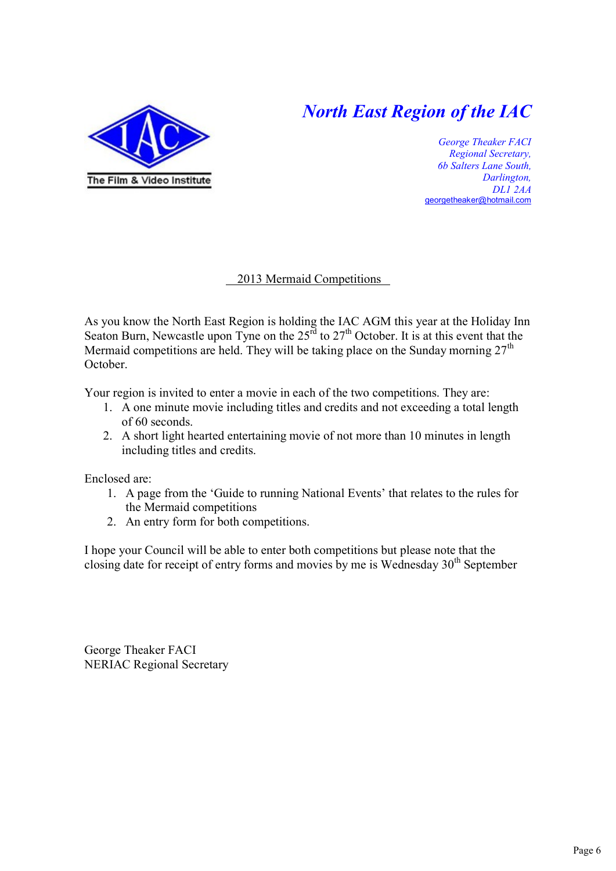## *North East Region of the IAC*

<span id="page-5-0"></span>

*George Theaker FACI Regional Secretary, 6b Salters Lane South, Darlington, DL1 2AA* [georgetheaker@hotmail.com](mailto:georgetheaker@hotmail.com)

#### 2013 Mermaid Competitions

As you know the North East Region is holding the IAC AGM this year at the Holiday Inn Seaton Burn, Newcastle upon Tyne on the  $25<sup>rd</sup>$  to  $27<sup>th</sup>$  October. It is at this event that the Mermaid competitions are held. They will be taking place on the Sunday morning  $27<sup>th</sup>$ October.

Your region is invited to enter a movie in each of the two competitions. They are:

- 1. A one minute movie including titles and credits and not exceeding a total length of 60 seconds.
- 2. A short light hearted entertaining movie of not more than 10 minutes in length including titles and credits.

Enclosed are:

- 1. A page from the 'Guide to running National Events' that relates to the rules for the Mermaid competitions
- 2. An entry form for both competitions.

I hope your Council will be able to enter both competitions but please note that the closing date for receipt of entry forms and movies by me is Wednesday 30<sup>th</sup> September

George Theaker FACI NERIAC Regional Secretary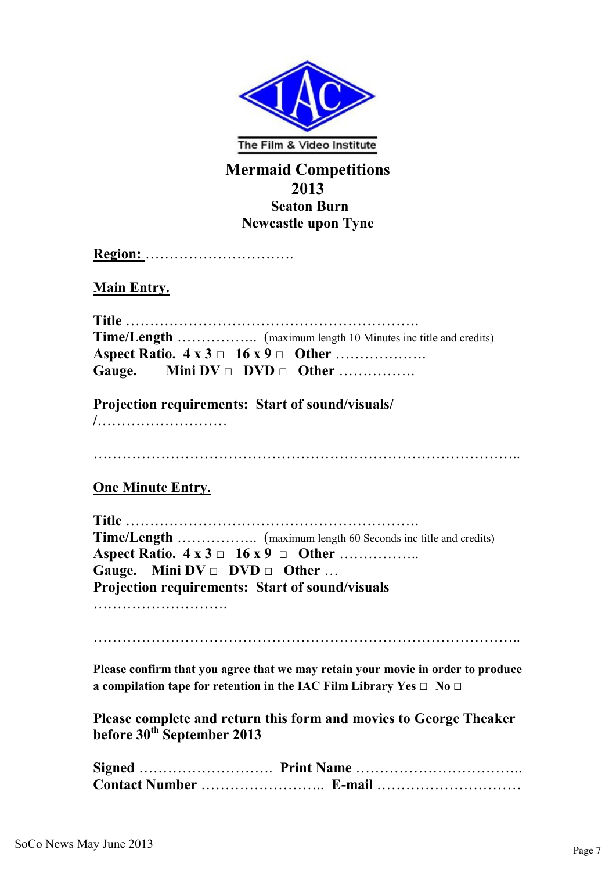<span id="page-6-0"></span>

#### **Mermaid Competitions 2013 Seaton Burn Newcastle upon Tyne**

**Region:** ………………………….

**Main Entry.**

| Gauge. Mini $DV \Box DVD \Box Other$ |
|--------------------------------------|

**Projection requirements: Start of sound/visuals/**

**/**………………………

……………………………………………………………………………..

#### **One Minute Entry.**

| Aspect Ratio. $4 \times 3 \square 16 \times 9 \square$ Other |  |  |  |
|--------------------------------------------------------------|--|--|--|
| Gauge. Mini $DV \square$ DVD $\square$ Other                 |  |  |  |
| <b>Projection requirements: Start of sound/visuals</b>       |  |  |  |

……………………….

……………………………………………………………………………..

**Please confirm that you agree that we may retain your movie in order to produce a compilation tape for retention in the IAC Film Library Yes □ No □**

**Please complete and return this form and movies to George Theaker before 30th September 2013**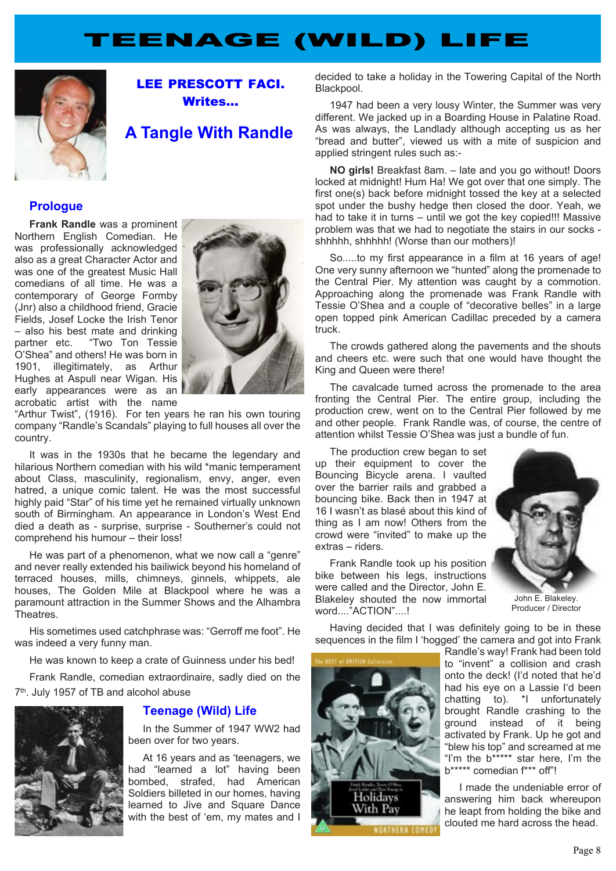## **TEENAGE (WILD) LIFE**

<span id="page-7-0"></span>

**LEE PRESCOTT FACI. Writes…**

### **A Tangle With Randle**

#### **Prologue**

**Frank Randle** was a prominent Northern English Comedian. He was professionally acknowledged also as a great Character Actor and was one of the greatest Music Hall comedians of all time. He was a contemporary of George Formby (Jnr) also a childhood friend, Gracie Fields, Josef Locke the Irish Tenor – also his best mate and drinking partner etc. "Two Ton Tessie O'Shea" and others! He was born in 1901, illegitimately, as Arthur Hughes at Aspull near Wigan. His early appearances were as an acrobatic artist with the name



"Arthur Twist", (1916). For ten years he ran his own touring company "Randle's Scandals" playing to full houses all over the country.

It was in the 1930s that he became the legendary and hilarious Northern comedian with his wild \*manic temperament about Class, masculinity, regionalism, envy, anger, even hatred, a unique comic talent. He was the most successful highly paid "Star" of his time yet he remained virtually unknown south of Birmingham. An appearance in London's West End died a death as - surprise, surprise - Southerner's could not comprehend his humour – their loss!

He was part of a phenomenon, what we now call a "genre" and never really extended his bailiwick beyond his homeland of terraced houses, mills, chimneys, ginnels, whippets, ale houses, The Golden Mile at Blackpool where he was a paramount attraction in the Summer Shows and the Alhambra Theatres.

His sometimes used catchphrase was: "Gerroff me foot". He was indeed a very funny man.

He was known to keep a crate of Guinness under his bed!

Frank Randle, comedian extraordinaire, sadly died on the 7<sup>th</sup>. July 1957 of TB and alcohol abuse



#### **Teenage (Wild) Life**

In the Summer of 1947 WW2 had been over for two years.

At 16 years and as 'teenagers, we had "learned a lot" having been bombed, strafed, had American Soldiers billeted in our homes, having learned to Jive and Square Dance with the best of 'em, my mates and I

decided to take a holiday in the Towering Capital of the North Blackpool.

1947 had been a very lousy Winter, the Summer was very different. We jacked up in a Boarding House in Palatine Road. As was always, the Landlady although accepting us as her "bread and butter", viewed us with a mite of suspicion and applied stringent rules such as:-

**NO girls!** Breakfast 8am. – late and you go without! Doors locked at midnight! Hum Ha! We got over that one simply. The first one(s) back before midnight tossed the key at a selected spot under the bushy hedge then closed the door. Yeah, we had to take it in turns – until we got the key copied!!! Massive problem was that we had to negotiate the stairs in our socks shhhhh, shhhhh! (Worse than our mothers)!

So.....to my first appearance in a film at 16 years of age! One very sunny afternoon we "hunted" along the promenade to the Central Pier. My attention was caught by a commotion. Approaching along the promenade was Frank Randle with Tessie O'Shea and a couple of "decorative belles" in a large open topped pink American Cadillac preceded by a camera truck.

The crowds gathered along the pavements and the shouts and cheers etc. were such that one would have thought the King and Queen were there!

The cavalcade turned across the promenade to the area fronting the Central Pier. The entire group, including the production crew, went on to the Central Pier followed by me and other people. Frank Randle was, of course, the centre of attention whilst Tessie O'Shea was just a bundle of fun.

The production crew began to set up their equipment to cover the Bouncing Bicycle arena. I vaulted over the barrier rails and grabbed a bouncing bike. Back then in 1947 at 16 I wasn't as blasé about this kind of thing as I am now! Others from the crowd were "invited" to make up the extras – riders.

Frank Randle took up his position bike between his legs, instructions were called and the Director, John E. Blakeley shouted the now immortal word...."ACTION"....!



John E. Blakeley. Producer / Director

Having decided that I was definitely going to be in these sequences in the film I 'hogged' the camera and got into Frank



Randle's way! Frank had been told to "invent" a collision and crash onto the deck! (I'd noted that he'd had his eye on a Lassie I'd been chatting to). \*I unfortunately brought Randle crashing to the ground instead of it being activated by Frank. Up he got and "blew his top" and screamed at me "I'm the b\*\*\*\*\* star here, I'm the b\*\*\*\*\* comedian f\*\*\* off"!

I made the undeniable error of answering him back whereupon he leapt from holding the bike and clouted me hard across the head.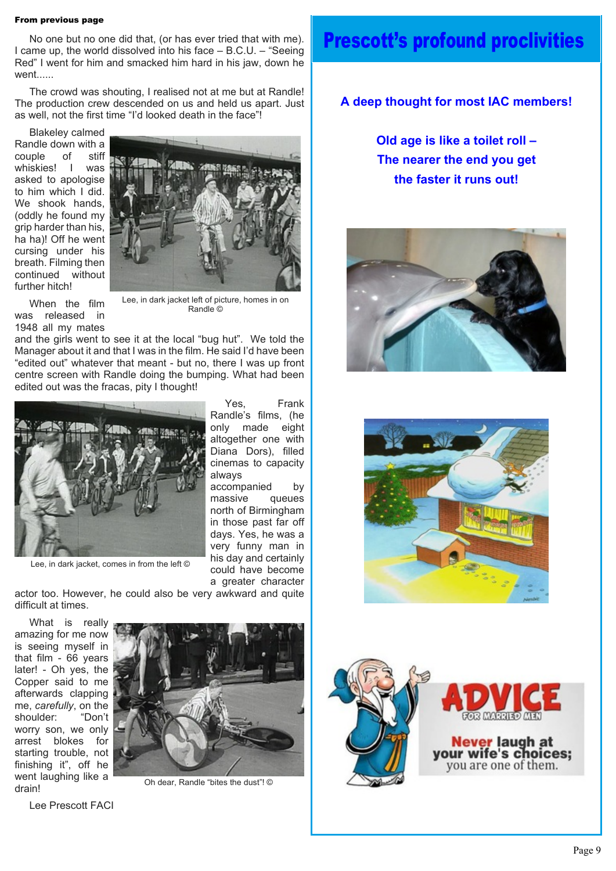#### **From previous page**

No one but no one did that, (or has ever tried that with me). I came up, the world dissolved into his face – B.C.U. – "Seeing Red" I went for him and smacked him hard in his jaw, down he went......

The crowd was shouting, I realised not at me but at Randle! The production crew descended on us and held us apart. Just as well, not the first time "I'd looked death in the face"!

Blakeley calmed Randle down with a couple of stiff whiskies! I was asked to apologise to him which I did. We shook hands. (oddly he found my grip harder than his, ha ha)! Off he went cursing under his breath. Filming then continued without further hitch!

When the film was released in



Lee, in dark jacket left of picture, homes in on Randle ©

1948 all my mates and the girls went to see it at the local "bug hut". We told the Manager about it and that I was in the film. He said I'd have been "edited out" whatever that meant - but no, there I was up front centre screen with Randle doing the bumping. What had been edited out was the fracas, pity I thought!



Lee, in dark jacket, comes in from the left ©

Yes, Frank Randle's films, (he only made eight altogether one with Diana Dors), filled cinemas to capacity always

accompanied by massive queues north of Birmingham in those past far off days. Yes, he was a very funny man in his day and certainly could have become a greater character

actor too. However, he could also be very awkward and quite

What is really amazing for me now is seeing myself in that film - 66 years later! - Oh yes, the Copper said to me afterwards clapping me, *carefully*, on the shoulder: "Don't worry son, we only arrest blokes for starting trouble, not finishing it", off he went laughing like a drain!

difficult at times.



Oh dear, Randle "bites the dust"! ©

Lee Prescott FACI

## **Prescott's profound proclivities**

#### **A deep thought for most IAC members!**

**Old age is like a toilet roll – The nearer the end you get the faster it runs out!**





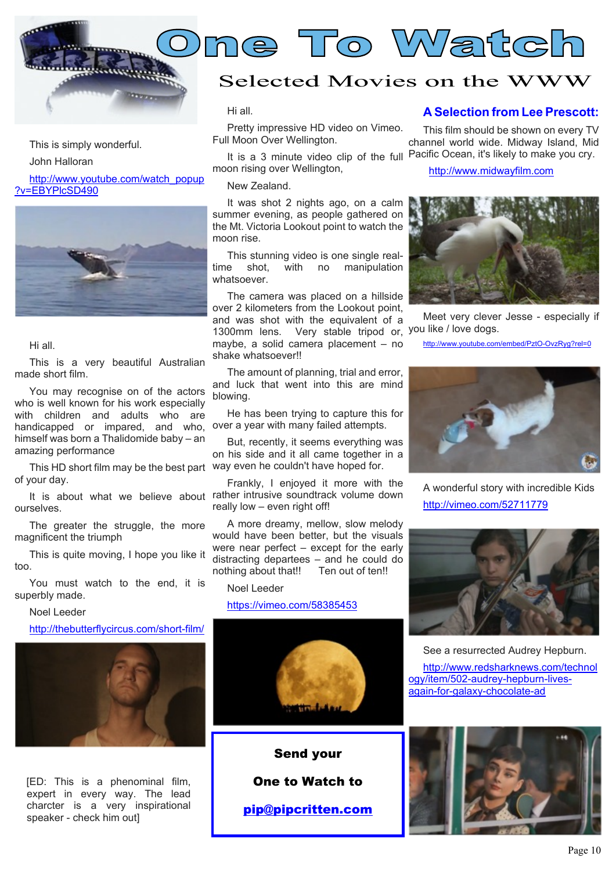<span id="page-9-0"></span>

#### This is simply wonderful.

John Halloran

[http://www.youtube.com/watch\\_popup](http://www.youtube.com/watch_popup?v=EBYPlcSD490) [?v=EBYPlcSD490](http://www.youtube.com/watch_popup?v=EBYPlcSD490)



Hi all.

This is a very beautiful Australian made short film.

You may recognise on of the actors who is well known for his work especially with children and adults who are handicapped or impared, and who, himself was born a Thalidomide baby – an amazing performance

This HD short film may be the best part way even he couldn't have hoped for. of your day.

ourselves.

The greater the struggle, the more magnificent the triumph

This is quite moving, I hope you like it too.

You must watch to the end, it is superbly made.

Noel Leeder

[http://thebutterflycircus.com/short-film/](http://thebutterflycircus.com/short-film/ )



[ED: This is a phenominal film, expert in every way. The lead charcter is a very inspirational speaker - check him out]

## Selected Movies on the WWW

**One To Watch**

Hi all.

Pretty impressive HD video on Vimeo. Full Moon Over Wellington.

It is a 3 minute video clip of the full Pacific Ocean, it's likely to make you cry. moon rising over Wellington,

New Zealand.

It was shot 2 nights ago, on a calm summer evening, as people gathered on the Mt. Victoria Lookout point to watch the moon rise.

This stunning video is one single real-<br>time shot. with no manipulation manipulation whatsoever.

1300mm lens. Very stable tripod or, you like / love dogs. The camera was placed on a hillside over 2 kilometers from the Lookout point, and was shot with the equivalent of a maybe, a solid camera placement – no shake whatsoever!!

The amount of planning, trial and error, and luck that went into this are mind blowing.

He has been trying to capture this for over a year with many failed attempts.

But, recently, it seems everything was on his side and it all came together in a

It is about what we believe about rather intrusive soundtrack volume down Frankly, I enjoyed it more with the really low – even right off!

> A more dreamy, mellow, slow melody would have been better, but the visuals were near perfect – except for the early distracting departees – and he could do nothing about that!! Ten out of ten!!

Noel Leeder

#### <https://vimeo.com/58385453>



**Send your**

**One to Watch to**

**[pip@pipcritten.com](mailto:pip@pipcritten.com)**

#### **A Selection from Lee Prescott:**

This film should be shown on every TV channel world wide. Midway Island, Mid

<http://www.midwayfilm.com>



Meet very clever Jesse - especially if

<http://www.youtube.com/embed/PztO-OvzRyg?rel=0>



A wonderful story with incredible Kids <http://vimeo.com/52711779>



See a resurrected Audrey Hepburn.

[http://www.redsharknews.com/technol](http://www.redsharknews.com/technology/item/502-audrey-hepburn-lives-again-for-galaxy-chocolate-ad) [ogy/item/502-audrey-hepburn-lives](http://www.redsharknews.com/technology/item/502-audrey-hepburn-lives-again-for-galaxy-chocolate-ad)[again-for-galaxy-chocolate-ad](http://www.redsharknews.com/technology/item/502-audrey-hepburn-lives-again-for-galaxy-chocolate-ad)